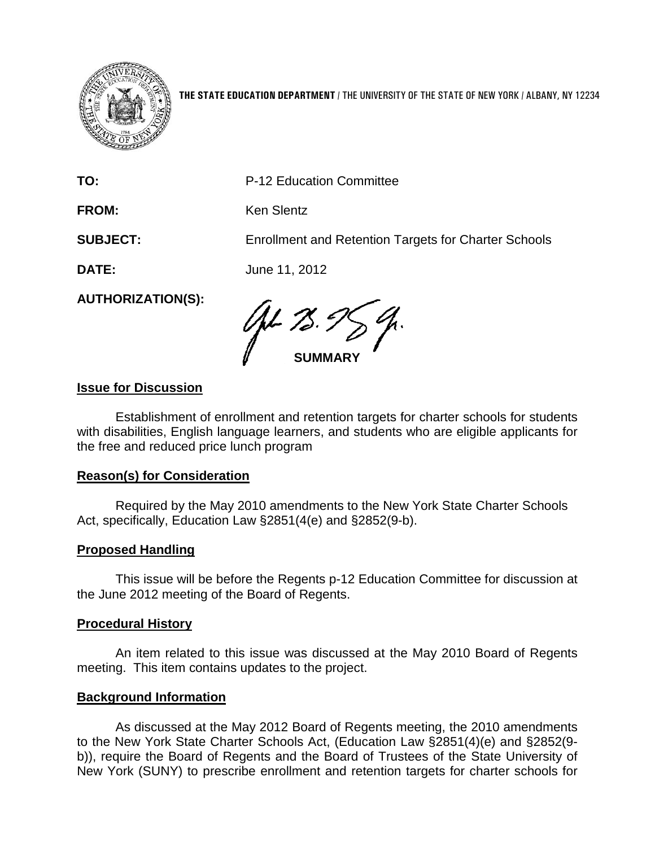

**THE STATE EDUCATION DEPARTMENT** / THE UNIVERSITY OF THE STATE OF NEW YORK / ALBANY, NY 12234

**TO:** P-12 Education Committee

FROM: Ken Slentz

**SUBJECT:** Enrollment and Retention Targets for Charter Schools

**DATE:** June 11, 2012

**AUTHORIZATION(S):**

**SUMMARY**

# **Issue for Discussion**

Establishment of enrollment and retention targets for charter schools for students with disabilities, English language learners, and students who are eligible applicants for the free and reduced price lunch program

#### **Reason(s) for Consideration**

Required by the May 2010 amendments to the New York State Charter Schools Act, specifically, Education Law §2851(4(e) and §2852(9-b).

# **Proposed Handling**

This issue will be before the Regents p-12 Education Committee for discussion at the June 2012 meeting of the Board of Regents.

#### **Procedural History**

An item related to this issue was discussed at the May 2010 Board of Regents meeting. This item contains updates to the project.

#### **Background Information**

As discussed at the May 2012 Board of Regents meeting, the 2010 amendments to the New York State Charter Schools Act, (Education Law §2851(4)(e) and §2852(9 b)), require the Board of Regents and the Board of Trustees of the State University of New York (SUNY) to prescribe enrollment and retention targets for charter schools for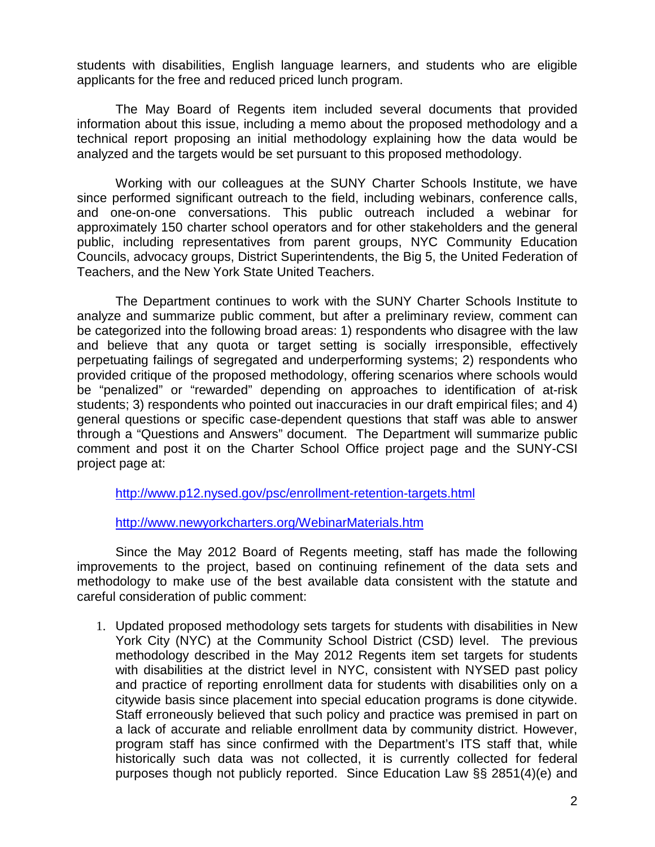students with disabilities, English language learners, and students who are eligible applicants for the free and reduced priced lunch program.

The May Board of Regents item included several documents that provided information about this issue, including a memo about the proposed methodology and a technical report proposing an initial methodology explaining how the data would be analyzed and the targets would be set pursuant to this proposed methodology.

Working with our colleagues at the SUNY Charter Schools Institute, we have since performed significant outreach to the field, including webinars, conference calls, and one-on-one conversations. This public outreach included a webinar for approximately 150 charter school operators and for other stakeholders and the general public, including representatives from parent groups, NYC Community Education Councils, advocacy groups, District Superintendents, the Big 5, the United Federation of Teachers, and the New York State United Teachers.

The Department continues to work with the SUNY Charter Schools Institute to analyze and summarize public comment, but after a preliminary review, comment can be categorized into the following broad areas: 1) respondents who disagree with the law and believe that any quota or target setting is socially irresponsible, effectively perpetuating failings of segregated and underperforming systems; 2) respondents who provided critique of the proposed methodology, offering scenarios where schools would be "penalized" or "rewarded" depending on approaches to identification of at-risk students; 3) respondents who pointed out inaccuracies in our draft empirical files; and 4) general questions or specific case-dependent questions that staff was able to answer through a "Questions and Answers" document. The Department will summarize public comment and post it on the Charter School Office project page and the SUNY-CSI project page at:

<http://www.p12.nysed.gov/psc/enrollment-retention-targets.html>

<http://www.newyorkcharters.org/WebinarMaterials.htm>

Since the May 2012 Board of Regents meeting, staff has made the following improvements to the project, based on continuing refinement of the data sets and methodology to make use of the best available data consistent with the statute and careful consideration of public comment:

1. Updated proposed methodology sets targets for students with disabilities in New York City (NYC) at the Community School District (CSD) level. The previous methodology described in the May 2012 Regents item set targets for students with disabilities at the district level in NYC, consistent with NYSED past policy and practice of reporting enrollment data for students with disabilities only on a citywide basis since placement into special education programs is done citywide. Staff erroneously believed that such policy and practice was premised in part on a lack of accurate and reliable enrollment data by community district. However, program staff has since confirmed with the Department's ITS staff that, while historically such data was not collected, it is currently collected for federal purposes though not publicly reported. Since Education Law §§ 2851(4)(e) and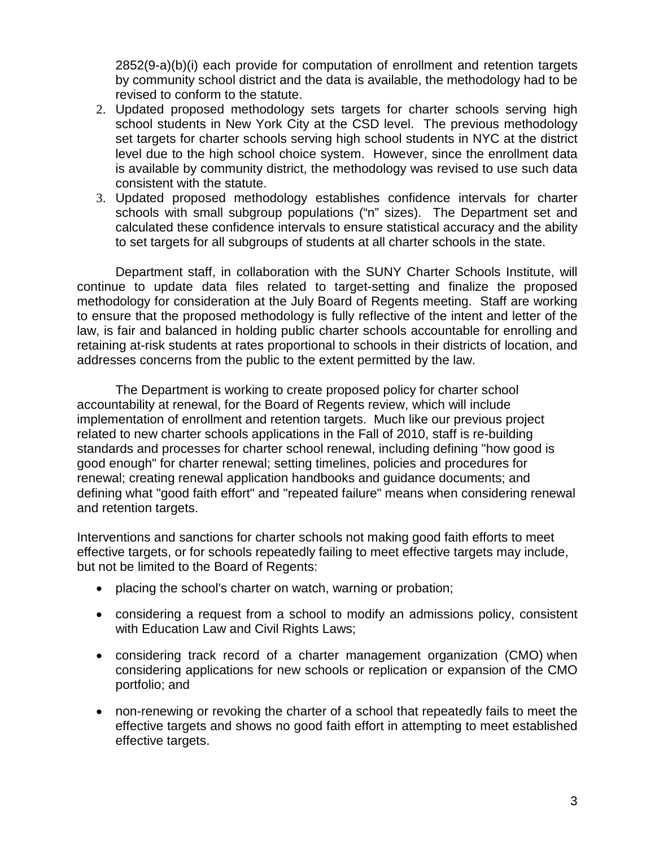2852(9-a)(b)(i) each provide for computation of enrollment and retention targets by community school district and the data is available, the methodology had to be revised to conform to the statute.

- 2. Updated proposed methodology sets targets for charter schools serving high school students in New York City at the CSD level. The previous methodology set targets for charter schools serving high school students in NYC at the district level due to the high school choice system. However, since the enrollment data is available by community district, the methodology was revised to use such data consistent with the statute.
- 3. Updated proposed methodology establishes confidence intervals for charter schools with small subgroup populations ("n" sizes). The Department set and calculated these confidence intervals to ensure statistical accuracy and the ability to set targets for all subgroups of students at all charter schools in the state.

Department staff, in collaboration with the SUNY Charter Schools Institute, will continue to update data files related to target-setting and finalize the proposed methodology for consideration at the July Board of Regents meeting. Staff are working to ensure that the proposed methodology is fully reflective of the intent and letter of the law, is fair and balanced in holding public charter schools accountable for enrolling and retaining at-risk students at rates proportional to schools in their districts of location, and addresses concerns from the public to the extent permitted by the law.

The Department is working to create proposed policy for charter school accountability at renewal, for the Board of Regents review, which will include implementation of enrollment and retention targets. Much like our previous project related to new charter schools applications in the Fall of 2010, staff is re-building standards and processes for charter school renewal, including defining "how good is good enough" for charter renewal; setting timelines, policies and procedures for renewal; creating renewal application handbooks and guidance documents; and defining what "good faith effort" and "repeated failure" means when considering renewal and retention targets.

Interventions and sanctions for charter schools not making good faith efforts to meet effective targets, or for schools repeatedly failing to meet effective targets may include, but not be limited to the Board of Regents:

- placing the school's charter on watch, warning or probation;
- considering a request from a school to modify an admissions policy, consistent with Education Law and Civil Rights Laws;
- considering track record of a charter management organization (CMO) when considering applications for new schools or replication or expansion of the CMO portfolio; and
- non-renewing or revoking the charter of a school that repeatedly fails to meet the effective targets and shows no good faith effort in attempting to meet established effective targets.